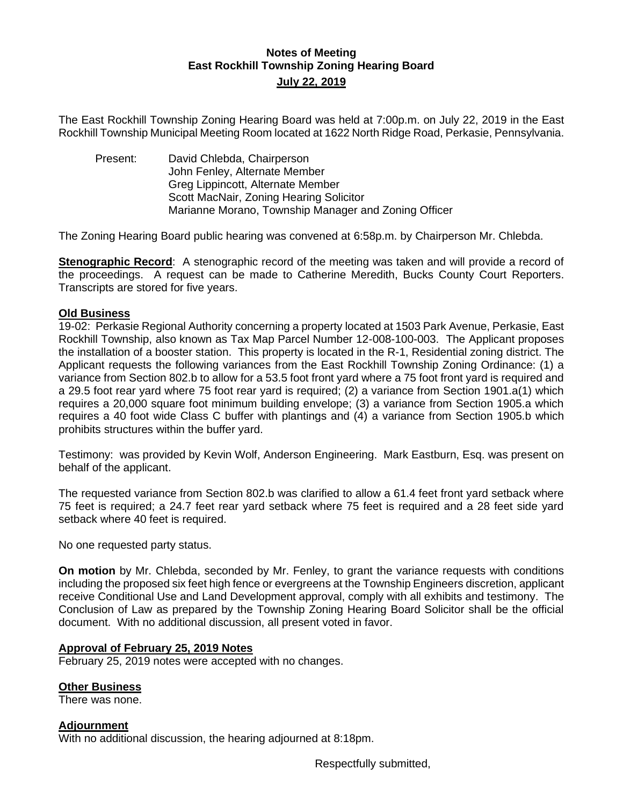# **Notes of Meeting East Rockhill Township Zoning Hearing Board July 22, 2019**

The East Rockhill Township Zoning Hearing Board was held at 7:00p.m. on July 22, 2019 in the East Rockhill Township Municipal Meeting Room located at 1622 North Ridge Road, Perkasie, Pennsylvania.

Present: David Chlebda, Chairperson John Fenley, Alternate Member Greg Lippincott, Alternate Member Scott MacNair, Zoning Hearing Solicitor Marianne Morano, Township Manager and Zoning Officer

The Zoning Hearing Board public hearing was convened at 6:58p.m. by Chairperson Mr. Chlebda.

**Stenographic Record**: A stenographic record of the meeting was taken and will provide a record of the proceedings. A request can be made to Catherine Meredith, Bucks County Court Reporters. Transcripts are stored for five years.

## **Old Business**

19-02: Perkasie Regional Authority concerning a property located at 1503 Park Avenue, Perkasie, East Rockhill Township, also known as Tax Map Parcel Number 12-008-100-003. The Applicant proposes the installation of a booster station. This property is located in the R-1, Residential zoning district. The Applicant requests the following variances from the East Rockhill Township Zoning Ordinance: (1) a variance from Section 802.b to allow for a 53.5 foot front yard where a 75 foot front yard is required and a 29.5 foot rear yard where 75 foot rear yard is required; (2) a variance from Section 1901.a(1) which requires a 20,000 square foot minimum building envelope; (3) a variance from Section 1905.a which requires a 40 foot wide Class C buffer with plantings and (4) a variance from Section 1905.b which prohibits structures within the buffer yard.

Testimony: was provided by Kevin Wolf, Anderson Engineering. Mark Eastburn, Esq. was present on behalf of the applicant.

The requested variance from Section 802.b was clarified to allow a 61.4 feet front yard setback where 75 feet is required; a 24.7 feet rear yard setback where 75 feet is required and a 28 feet side yard setback where 40 feet is required.

No one requested party status.

**On motion** by Mr. Chlebda, seconded by Mr. Fenley, to grant the variance requests with conditions including the proposed six feet high fence or evergreens at the Township Engineers discretion, applicant receive Conditional Use and Land Development approval, comply with all exhibits and testimony. The Conclusion of Law as prepared by the Township Zoning Hearing Board Solicitor shall be the official document. With no additional discussion, all present voted in favor.

## **Approval of February 25, 2019 Notes**

February 25, 2019 notes were accepted with no changes.

#### **Other Business**

There was none.

## **Adjournment**

With no additional discussion, the hearing adjourned at 8:18pm.

Respectfully submitted,